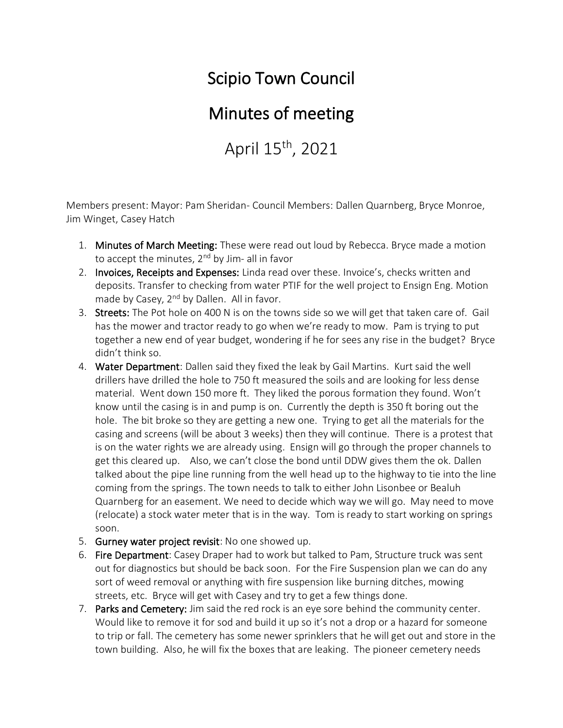## Scipio Town Council

## Minutes of meeting

April 15<sup>th</sup>, 2021

Members present: Mayor: Pam Sheridan- Council Members: Dallen Quarnberg, Bryce Monroe, Jim Winget, Casey Hatch

- 1. Minutes of March Meeting: These were read out loud by Rebecca. Bryce made a motion to accept the minutes,  $2^{nd}$  by Jim- all in favor
- 2. Invoices, Receipts and Expenses: Linda read over these. Invoice's, checks written and deposits. Transfer to checking from water PTIF for the well project to Ensign Eng. Motion made by Casey, 2<sup>nd</sup> by Dallen. All in favor.
- 3. Streets: The Pot hole on 400 N is on the towns side so we will get that taken care of. Gail has the mower and tractor ready to go when we're ready to mow. Pam is trying to put together a new end of year budget, wondering if he for sees any rise in the budget? Bryce didn't think so.
- 4. Water Department: Dallen said they fixed the leak by Gail Martins. Kurt said the well drillers have drilled the hole to 750 ft measured the soils and are looking for less dense material. Went down 150 more ft. They liked the porous formation they found. Won't know until the casing is in and pump is on. Currently the depth is 350 ft boring out the hole. The bit broke so they are getting a new one. Trying to get all the materials for the casing and screens (will be about 3 weeks) then they will continue. There is a protest that is on the water rights we are already using. Ensign will go through the proper channels to get this cleared up. Also, we can't close the bond until DDW gives them the ok. Dallen talked about the pipe line running from the well head up to the highway to tie into the line coming from the springs. The town needs to talk to either John Lisonbee or Bealuh Quarnberg for an easement. We need to decide which way we will go. May need to move (relocate) a stock water meter that is in the way. Tom is ready to start working on springs soon.
- 5. Gurney water project revisit: No one showed up.
- 6. Fire Department: Casey Draper had to work but talked to Pam, Structure truck was sent out for diagnostics but should be back soon. For the Fire Suspension plan we can do any sort of weed removal or anything with fire suspension like burning ditches, mowing streets, etc. Bryce will get with Casey and try to get a few things done.
- 7. Parks and Cemetery: Jim said the red rock is an eye sore behind the community center. Would like to remove it for sod and build it up so it's not a drop or a hazard for someone to trip or fall. The cemetery has some newer sprinklers that he will get out and store in the town building. Also, he will fix the boxes that are leaking. The pioneer cemetery needs